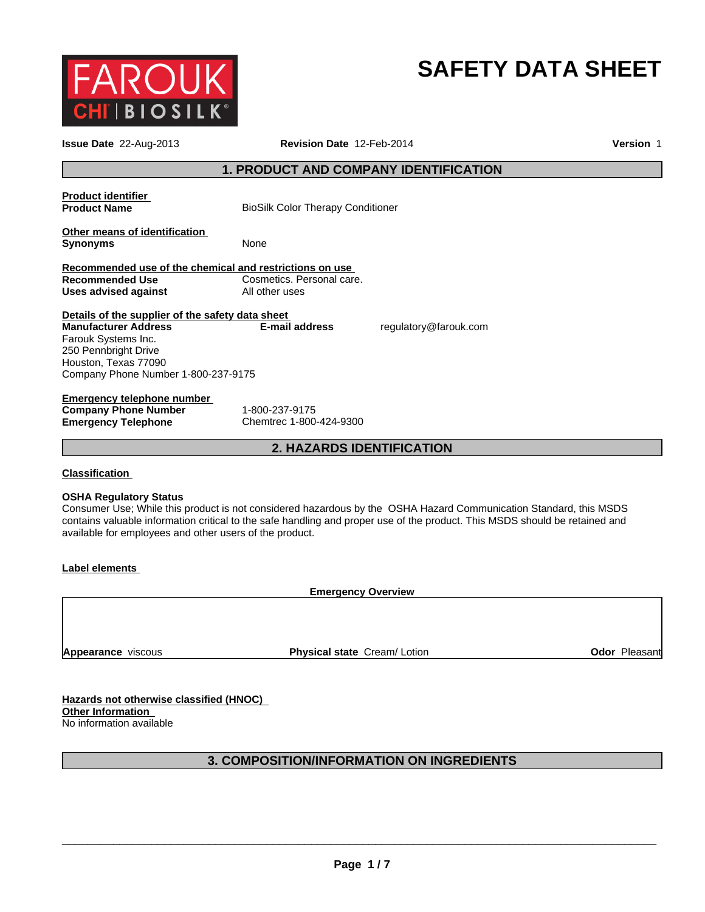

# **SAFETY DATA SHEET**

| <b>Issue Date</b> 22-Aug-2013                                                                                                                                                                 | Revision Date 12-Feb-2014                   |                                                                                                                                                                                                                                                  | Version 1 |
|-----------------------------------------------------------------------------------------------------------------------------------------------------------------------------------------------|---------------------------------------------|--------------------------------------------------------------------------------------------------------------------------------------------------------------------------------------------------------------------------------------------------|-----------|
|                                                                                                                                                                                               | 1. PRODUCT AND COMPANY IDENTIFICATION       |                                                                                                                                                                                                                                                  |           |
| <b>Product identifier</b><br><b>Product Name</b>                                                                                                                                              | <b>BioSilk Color Therapy Conditioner</b>    |                                                                                                                                                                                                                                                  |           |
| Other means of identification<br><b>Synonyms</b>                                                                                                                                              | None                                        |                                                                                                                                                                                                                                                  |           |
| Recommended use of the chemical and restrictions on use<br><b>Recommended Use</b><br><b>Uses advised against</b>                                                                              | Cosmetics. Personal care.<br>All other uses |                                                                                                                                                                                                                                                  |           |
| Details of the supplier of the safety data sheet<br><b>Manufacturer Address</b><br>Farouk Systems Inc.<br>250 Pennbright Drive<br>Houston, Texas 77090<br>Company Phone Number 1-800-237-9175 | E-mail address                              | regulatory@farouk.com                                                                                                                                                                                                                            |           |
| <b>Emergency telephone number</b><br><b>Company Phone Number</b><br><b>Emergency Telephone</b>                                                                                                | 1-800-237-9175<br>Chemtrec 1-800-424-9300   |                                                                                                                                                                                                                                                  |           |
|                                                                                                                                                                                               | <b>2. HAZARDS IDENTIFICATION</b>            |                                                                                                                                                                                                                                                  |           |
| <b>Classification</b><br><b>OSHA Regulatory Status</b><br>available for employees and other users of the product.                                                                             |                                             | Consumer Use; While this product is not considered hazardous by the OSHA Hazard Communication Standard, this MSDS<br>contains valuable information critical to the safe handling and proper use of the product. This MSDS should be retained and |           |
| <b>Label elements</b>                                                                                                                                                                         |                                             |                                                                                                                                                                                                                                                  |           |
|                                                                                                                                                                                               | <b>Emergency Overview</b>                   |                                                                                                                                                                                                                                                  |           |
|                                                                                                                                                                                               |                                             |                                                                                                                                                                                                                                                  |           |

**Appearance** viscous

**Physical state** Cream/ Lotion **CODE 2018 Odor Pleasant** 

**Hazards not otherwise classified (HNOC) Other Information**  No information available

### **3. COMPOSITION/INFORMATION ON INGREDIENTS**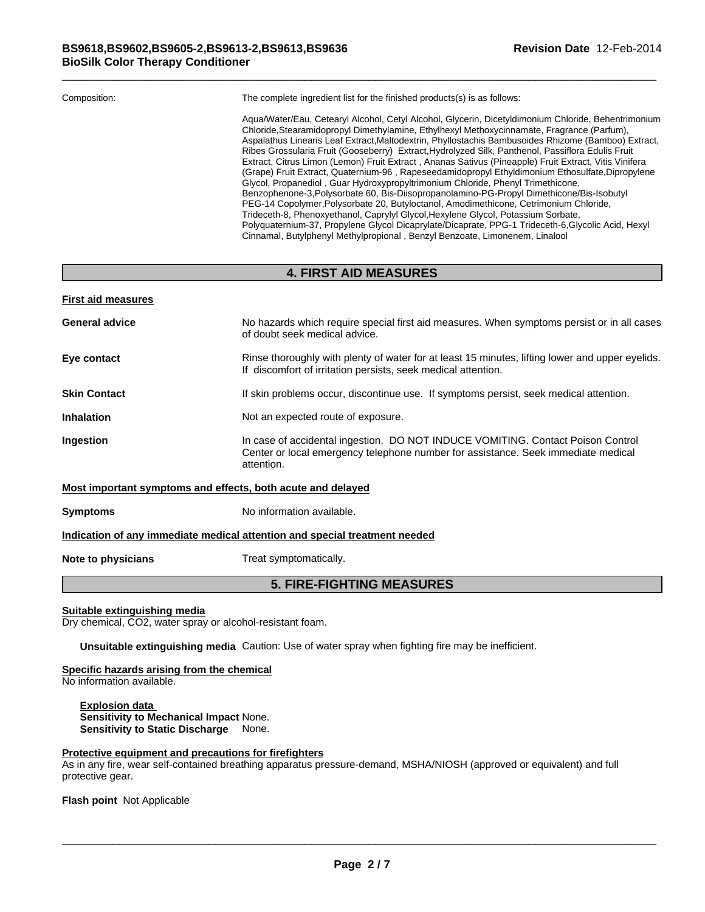#### **4. FIRST AID MEASURES**

| <b>First aid measures</b>                                   |                                                                                                                                                                                    |
|-------------------------------------------------------------|------------------------------------------------------------------------------------------------------------------------------------------------------------------------------------|
| <b>General advice</b>                                       | No hazards which require special first aid measures. When symptoms persist or in all cases<br>of doubt seek medical advice.                                                        |
| Eye contact                                                 | Rinse thoroughly with plenty of water for at least 15 minutes, lifting lower and upper eyelids.<br>If discomfort of irritation persists, seek medical attention.                   |
| <b>Skin Contact</b>                                         | If skin problems occur, discontinue use. If symptoms persist, seek medical attention.                                                                                              |
| <b>Inhalation</b>                                           | Not an expected route of exposure.                                                                                                                                                 |
| Ingestion                                                   | In case of accidental ingestion, DO NOT INDUCE VOMITING. Contact Poison Control<br>Center or local emergency telephone number for assistance. Seek immediate medical<br>attention. |
| Most important symptoms and effects, both acute and delayed |                                                                                                                                                                                    |
| <b>Symptoms</b>                                             | No information available.                                                                                                                                                          |
|                                                             | Indication of any immediate medical attention and special treatment needed                                                                                                         |
| Note to physicians                                          | Treat symptomatically.                                                                                                                                                             |
|                                                             |                                                                                                                                                                                    |

### **5. FIRE-FIGHTING MEASURES**

#### **Suitable extinguishing media**

Dry chemical, CO2, water spray or alcohol-resistant foam.

**Unsuitable extinguishing media** Caution: Use of water spray when fighting fire may be inefficient.

## **Specific hazards arising from the chemical**

No information available.

**Explosion data Sensitivity to Mechanical Impact** None. **Sensitivity to Static Discharge** None.

#### **Protective equipment and precautions for firefighters**

As in any fire, wear self-contained breathing apparatus pressure-demand, MSHA/NIOSH (approved or equivalent) and full protective gear.

**Flash point** Not Applicable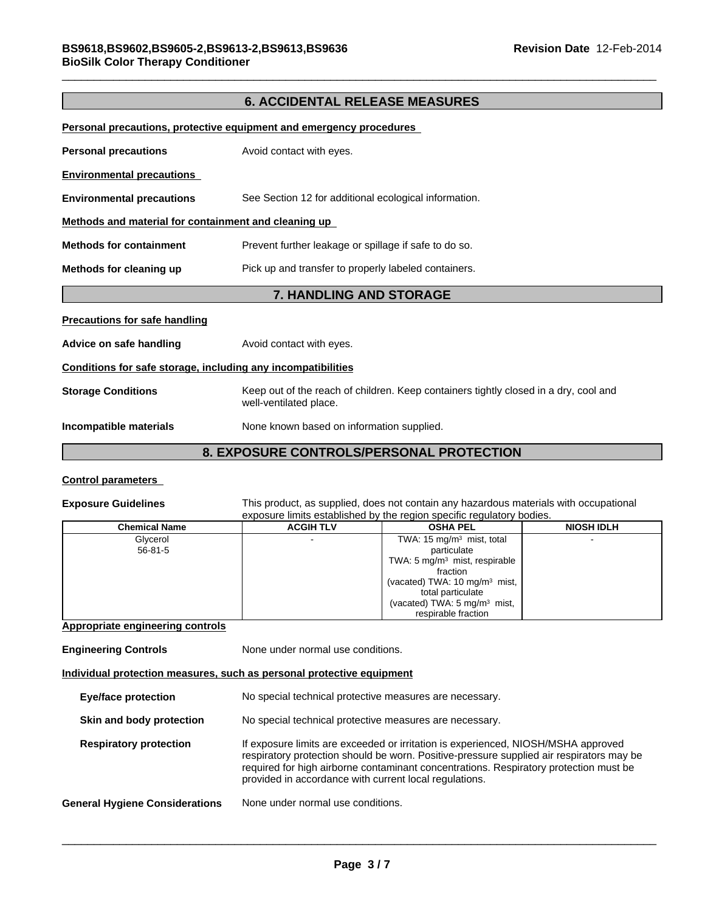#### **6. ACCIDENTAL RELEASE MEASURES**

|                                                              | Personal precautions, protective equipment and emergency procedures                                            |  |
|--------------------------------------------------------------|----------------------------------------------------------------------------------------------------------------|--|
| <b>Personal precautions</b>                                  | Avoid contact with eyes.                                                                                       |  |
| <b>Environmental precautions</b>                             |                                                                                                                |  |
| <b>Environmental precautions</b>                             | See Section 12 for additional ecological information.                                                          |  |
| Methods and material for containment and cleaning up         |                                                                                                                |  |
| <b>Methods for containment</b>                               | Prevent further leakage or spillage if safe to do so.                                                          |  |
| Methods for cleaning up                                      | Pick up and transfer to properly labeled containers.                                                           |  |
| <b>7. HANDLING AND STORAGE</b>                               |                                                                                                                |  |
| <b>Precautions for safe handling</b>                         |                                                                                                                |  |
| Advice on safe handling                                      | Avoid contact with eyes.                                                                                       |  |
| Conditions for safe storage, including any incompatibilities |                                                                                                                |  |
| <b>Storage Conditions</b>                                    | Keep out of the reach of children. Keep containers tightly closed in a dry, cool and<br>well-ventilated place. |  |
| Incompatible materials                                       | None known based on information supplied.                                                                      |  |
|                                                              | <b>8. EXPOSURE CONTROLS/PERSONAL PROTECTION</b>                                                                |  |

#### **Control parameters**

**Exposure Guidelines** This product, as supplied, does not contain any hazardous materials with occupational exposure limits established by the region specific regulatory bodies.

| <b>Chemical Name</b> | <b>ACGIH TLV</b> | <b>OSHA PEL</b>                           | <b>NIOSH IDLH</b> |
|----------------------|------------------|-------------------------------------------|-------------------|
| Glycerol             |                  | TWA: $15 \text{ mg/m}^3$ mist, total      |                   |
| $56 - 81 - 5$        |                  | particulate                               |                   |
|                      |                  | TWA: $5 \text{ mg/m}^3$ mist, respirable  |                   |
|                      |                  | fraction                                  |                   |
|                      |                  | (vacated) TWA: 10 mg/m <sup>3</sup> mist, |                   |
|                      |                  | total particulate                         |                   |
|                      |                  | (vacated) TWA: 5 mg/m <sup>3</sup> mist,  |                   |
|                      |                  | respirable fraction                       |                   |

#### **Appropriate engineering controls**

**Engineering Controls** None under normal use conditions. **Individual protection measures, such as personal protective equipment Eye/face protection** No special technical protective measures are necessary. **Skin and body protection** No special technical protective measures are necessary. **Respiratory protection** If exposure limits are exceeded or irritation is experienced, NIOSH/MSHA approved respiratory protection should be worn. Positive-pressure supplied air respirators may be required for high airborne contaminant concentrations. Respiratory protection must be provided in accordance with current local regulations. **General Hygiene Considerations** None under normal use conditions.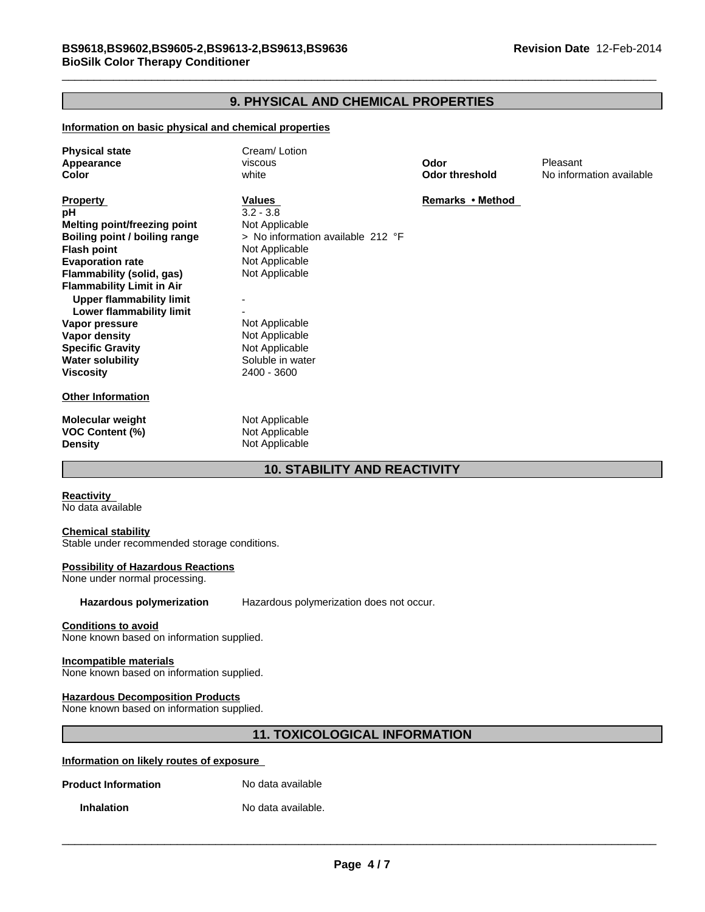### **9. PHYSICAL AND CHEMICAL PROPERTIES**

#### **Information on basic physical and chemical properties**

| <b>Physical state</b><br>Appearance<br>Color                                                                                                                                                                                                                                                                                                                                         | Cream/Lotion<br>viscous<br>white                                                                                                                                                                                            | Odor<br><b>Odor threshold</b> | Pleasant<br>No information available |
|--------------------------------------------------------------------------------------------------------------------------------------------------------------------------------------------------------------------------------------------------------------------------------------------------------------------------------------------------------------------------------------|-----------------------------------------------------------------------------------------------------------------------------------------------------------------------------------------------------------------------------|-------------------------------|--------------------------------------|
| <b>Property</b><br>рH<br>Melting point/freezing point<br>Boiling point / boiling range<br><b>Flash point</b><br><b>Evaporation rate</b><br>Flammability (solid, gas)<br><b>Flammability Limit in Air</b><br><b>Upper flammability limit</b><br>Lower flammability limit<br>Vapor pressure<br><b>Vapor density</b><br><b>Specific Gravity</b><br><b>Water solubility</b><br>Viscosity | Values<br>$3.2 - 3.8$<br>Not Applicable<br>> No information available 212 °F<br>Not Applicable<br>Not Applicable<br>Not Applicable<br>Not Applicable<br>Not Applicable<br>Not Applicable<br>Soluble in water<br>2400 - 3600 | Remarks • Method              |                                      |
| <b>Other Information</b>                                                                                                                                                                                                                                                                                                                                                             |                                                                                                                                                                                                                             |                               |                                      |
| Molecular weight<br><b>VOC Content (%)</b><br><b>Density</b>                                                                                                                                                                                                                                                                                                                         | Not Applicable<br>Not Applicable<br>Not Applicable                                                                                                                                                                          |                               |                                      |

### **10. STABILITY AND REACTIVITY**

**Reactivity**  No data available

#### **Chemical stability**

Stable under recommended storage conditions.

#### **Possibility of Hazardous Reactions**

None under normal processing.

**Hazardous polymerization** Hazardous polymerization does not occur.

#### **Conditions to avoid**

None known based on information supplied.

#### **Incompatible materials**

None known based on information supplied.

#### **Hazardous Decomposition Products**

None known based on information supplied.

### **11. TOXICOLOGICAL INFORMATION**

#### **Information on likely routes of exposure**

**Product Information** No data available

**Inhalation** No data available.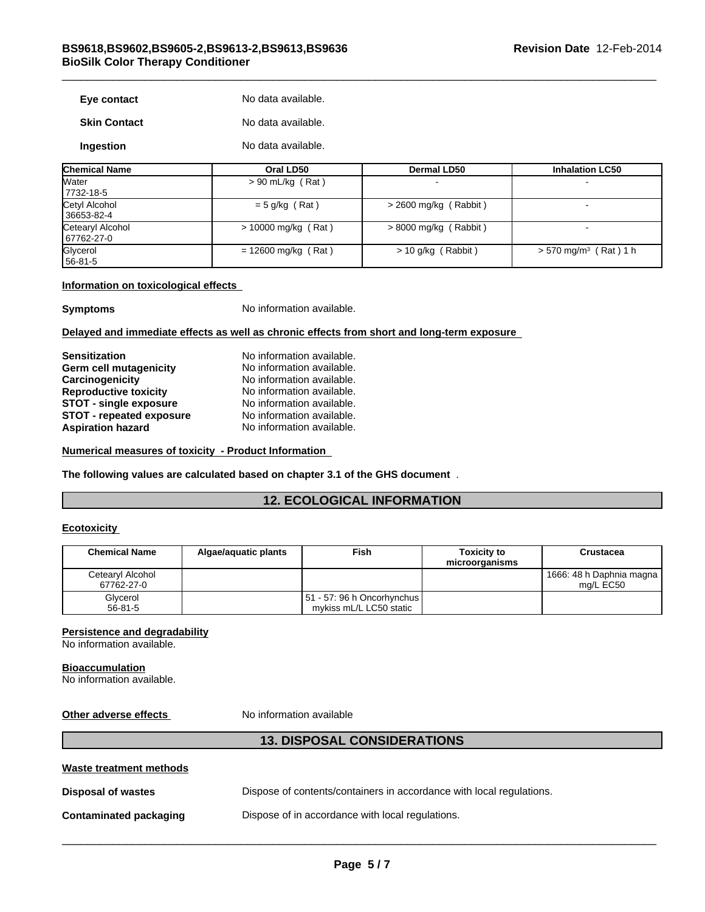| Eye contact         | No data available. |
|---------------------|--------------------|
| <b>Skin Contact</b> | No data available. |
| Ingestion           | No data available. |

| <b>Chemical Name</b>           | Oral LD50             | Dermal LD50             | <b>Inhalation LC50</b>              |
|--------------------------------|-----------------------|-------------------------|-------------------------------------|
| <b>Water</b><br>7732-18-5      | $> 90$ mL/kg (Rat)    |                         | $\blacksquare$                      |
| Cetyl Alcohol<br>36653-82-4    | $= 5$ g/kg (Rat)      | $>$ 2600 mg/kg (Rabbit) |                                     |
| Cetearyl Alcohol<br>67762-27-0 | $> 10000$ mg/kg (Rat) | $> 8000$ mg/kg (Rabbit) | -                                   |
| Glycerol<br>$156 - 81 - 5$     | $= 12600$ mg/kg (Rat) | > 10 g/kg (Rabbit)      | $> 570$ mg/m <sup>3</sup> (Rat) 1 h |

#### **Information on toxicological effects**

**Symptoms** No information available.

#### **Delayed and immediate effects as well as chronic effects from short and long-term exposure**

| <b>Sensitization</b>            | No information available. |
|---------------------------------|---------------------------|
| Germ cell mutagenicity          | No information available. |
| Carcinogenicity                 | No information available. |
| <b>Reproductive toxicity</b>    | No information available. |
| STOT - single exposure          | No information available. |
| <b>STOT - repeated exposure</b> | No information available. |
| <b>Aspiration hazard</b>        | No information available. |

**Numerical measures of toxicity - Product Information** 

**The following values are calculated based on chapter 3.1 of the GHS document** .

### **12. ECOLOGICAL INFORMATION**

#### **Ecotoxicity**

| <b>Chemical Name</b>           | Algae/aguatic plants | Fish                                                           | <b>Toxicity to</b><br>microorganisms | Crustacea                               |
|--------------------------------|----------------------|----------------------------------------------------------------|--------------------------------------|-----------------------------------------|
| Cetearyl Alcohol<br>67762-27-0 |                      |                                                                |                                      | 1666: 48 h Daphnia magna  <br>ma/L EC50 |
| Glycerol<br>$56 - 81 - 5$      |                      | $ 51 - 57 $ : 96 h Oncorhynchus $ $<br>mykiss mL/L LC50 static |                                      |                                         |

#### **Persistence and degradability**

No information available.

#### **Bioaccumulation**

No information available.

**Other adverse effects** No information available

| <b>Waste treatment methods</b> |                                                                      |
|--------------------------------|----------------------------------------------------------------------|
| <b>Disposal of wastes</b>      | Dispose of contents/containers in accordance with local regulations. |
| <b>Contaminated packaging</b>  | Dispose of in accordance with local regulations.                     |
|                                |                                                                      |

**13. DISPOSAL CONSIDERATIONS**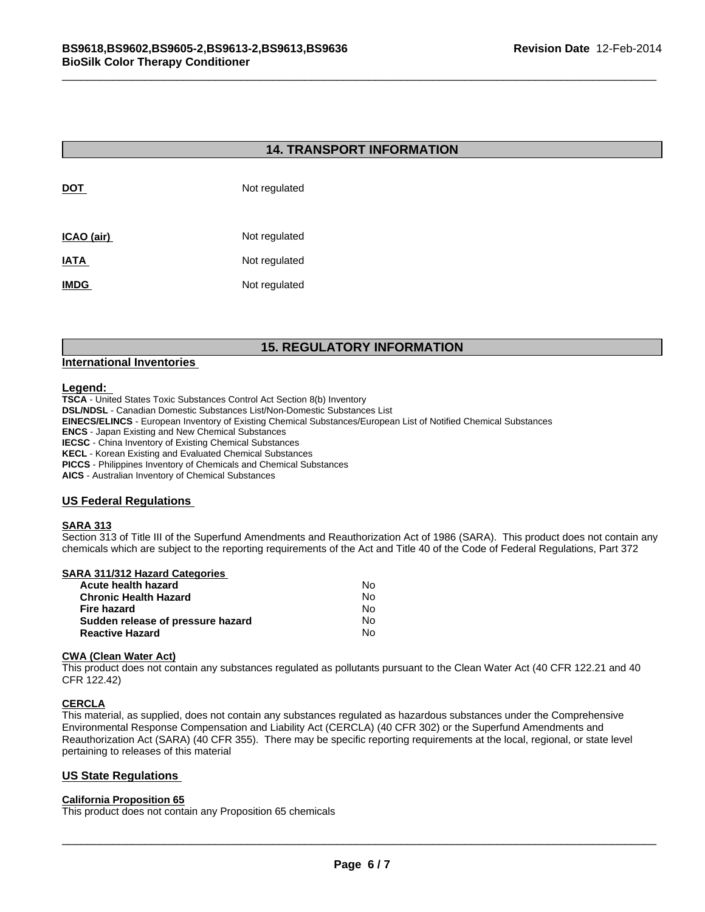#### **14. TRANSPORT INFORMATION**

| DOT         | Not regulated |
|-------------|---------------|
| ICAO (air)  | Not regulated |
| <b>IATA</b> | Not regulated |
| <b>IMDG</b> | Not regulated |

### **15. REGULATORY INFORMATION**

#### **International Inventories**

#### **Legend:**

**TSCA** - United States Toxic Substances Control Act Section 8(b) Inventory

**DSL/NDSL** - Canadian Domestic Substances List/Non-Domestic Substances List

**EINECS/ELINCS** - European Inventory of Existing Chemical Substances/European List of Notified Chemical Substances

**ENCS** - Japan Existing and New Chemical Substances

**IECSC** - China Inventory of Existing Chemical Substances

**KECL** - Korean Existing and Evaluated Chemical Substances

**PICCS** - Philippines Inventory of Chemicals and Chemical Substances

**AICS** - Australian Inventory of Chemical Substances

#### **US Federal Regulations**

#### **SARA 313**

Section 313 of Title III of the Superfund Amendments and Reauthorization Act of 1986 (SARA). This product does not contain any chemicals which are subject to the reporting requirements of the Act and Title 40 of the Code of Federal Regulations, Part 372

#### **SARA 311/312 Hazard Categories**

| Acute health hazard               | Nο |  |
|-----------------------------------|----|--|
| Chronic Health Hazard             | N٥ |  |
| Fire hazard                       | N٥ |  |
| Sudden release of pressure hazard | N٥ |  |
| <b>Reactive Hazard</b>            | N٥ |  |

#### **CWA (Clean Water Act)**

This product does not contain any substances regulated as pollutants pursuant to the Clean Water Act (40 CFR 122.21 and 40 CFR 122.42)

#### **CERCLA**

This material, as supplied, does not contain any substances regulated as hazardous substances under the Comprehensive Environmental Response Compensation and Liability Act (CERCLA) (40 CFR 302) or the Superfund Amendments and Reauthorization Act (SARA) (40 CFR 355). There may be specific reporting requirements at the local, regional, or state level pertaining to releases of this material

#### **California Proposition 65**

\_\_\_\_\_\_\_\_\_\_\_\_\_\_\_\_\_\_\_\_\_\_\_\_\_\_\_\_\_\_\_\_\_\_\_\_\_\_\_\_\_\_\_\_\_\_\_\_\_\_\_\_\_\_\_\_\_\_\_\_\_\_\_\_\_\_\_\_\_\_\_\_\_\_\_\_\_\_\_\_\_\_\_\_\_\_\_\_\_\_\_\_\_ **US State Regulations**  This product does not contain any Proposition 65 chemicals